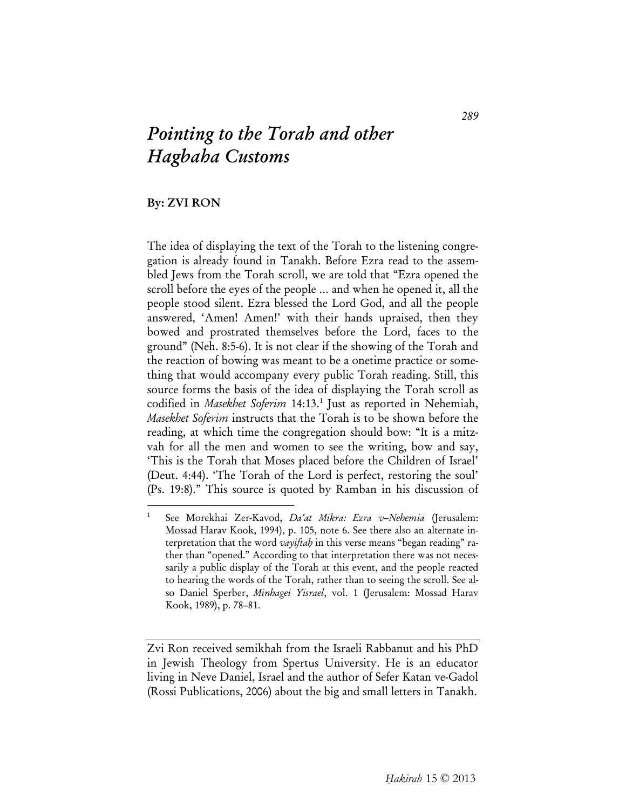## *Pointing to the Torah and other Hagbaha Customs*

## By: ZVI RON

The idea of displaying the text of the Torah to the listening congregation is already found in Tanakh. Before Ezra read to the assembled Jews from the Torah scroll, we are told that "Ezra opened the scroll before the eyes of the people … and when he opened it, all the people stood silent. Ezra blessed the Lord God, and all the people answered, 'Amen! Amen!' with their hands upraised, then they bowed and prostrated themselves before the Lord, faces to the ground" (Neh. 8:5-6). It is not clear if the showing of the Torah and the reaction of bowing was meant to be a onetime practice or something that would accompany every public Torah reading. Still, this source forms the basis of the idea of displaying the Torah scroll as codified in *Masekhet Soferim* 14:13.<sup>1</sup> Just as reported in Nehemiah, *Masekhet Soferim* instructs that the Torah is to be shown before the reading, at which time the congregation should bow: "It is a mitzvah for all the men and women to see the writing, bow and say, 'This is the Torah that Moses placed before the Children of Israel' (Deut. 4:44). 'The Torah of the Lord is perfect, restoring the soul' (Ps. 19:8)." This source is quoted by Ramban in his discussion of

<sup>1</sup> See Morekhai Zer-Kavod, *Da'at Mikra: Ezra v–Nehemia* (Jerusalem: Mossad Harav Kook, 1994), p. 105, note 6. See there also an alternate interpretation that the word *vayiftah* in this verse means "began reading" rather than "opened." According to that interpretation there was not necessarily a public display of the Torah at this event, and the people reacted to hearing the words of the Torah, rather than to seeing the scroll. See also Daniel Sperber, *Minhagei Yisrael*, vol. 1 (Jerusalem: Mossad Harav Kook, 1989), p. 78–81.

Zvi Ron received semikhah from the Israeli Rabbanut and his PhD in Jewish Theology from Spertus University. He is an educator living in Neve Daniel, Israel and the author of Sefer Katan ve-Gadol (Rossi Publications, 2006) about the big and small letters in Tanakh.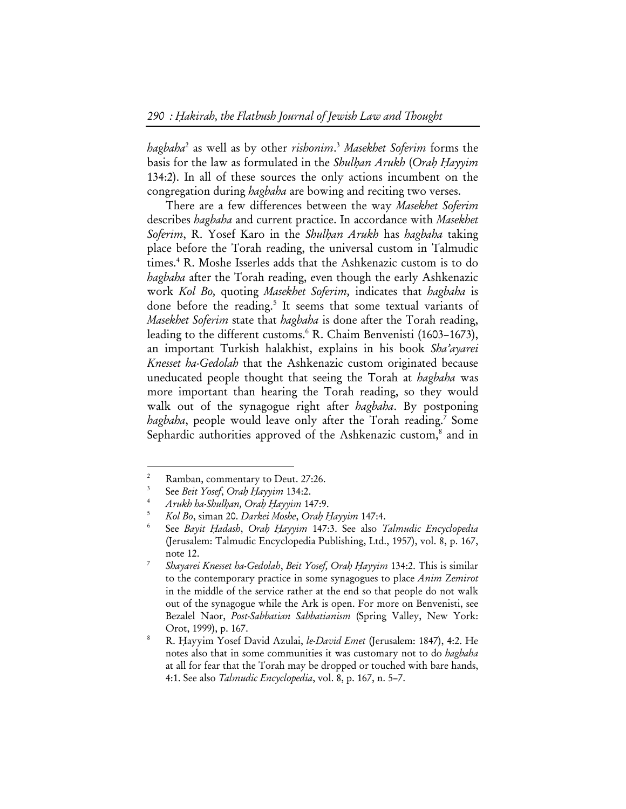*hagbaha*<sup>2</sup> as well as by other *rishonim*. <sup>3</sup> *Masekhet Soferim* forms the basis for the law as formulated in the *Shulhan Arukh* (*Orah Hayyim* 134:2). In all of these sources the only actions incumbent on the congregation during *hagbaha* are bowing and reciting two verses.

There are a few differences between the way *Masekhet Soferim* describes *hagbaha* and current practice. In accordance with *Masekhet Soferim*, R. Yosef Karo in the *Shulhan Arukh* has *hagbaha* taking place before the Torah reading, the universal custom in Talmudic times.4 R. Moshe Isserles adds that the Ashkenazic custom is to do *hagbaha* after the Torah reading, even though the early Ashkenazic work *Kol Bo,* quoting *Masekhet Soferim,* indicates that *hagbaha* is done before the reading.<sup>5</sup> It seems that some textual variants of *Masekhet Soferim* state that *hagbaha* is done after the Torah reading, leading to the different customs.<sup>6</sup> R. Chaim Benvenisti (1603-1673), an important Turkish halakhist, explains in his book *Sha'ayarei Knesset ha-Gedolah* that the Ashkenazic custom originated because uneducated people thought that seeing the Torah at *hagbaha* was more important than hearing the Torah reading, so they would walk out of the synagogue right after *hagbaha*. By postponing hagbaha, people would leave only after the Torah reading.<sup>7</sup> Some Sephardic authorities approved of the Ashkenazic custom,<sup>8</sup> and in

<sup>2</sup> Ramban, commentary to Deut. 27:26.

<sup>3</sup> See *Beit Yosef*, *Orah Hayyim* 134:2. 4

*Arukh ha-Shulhan, Orah Hayyim* 147:9. 5

*Kol Bo*, siman 20. *Darkei Moshe*, *Orah Hayyim* 147:4. 6

See *Bayit Hadash*, *Orah Hayyim* 147:3. See also *Talmudic Encyclopedia*  (Jerusalem: Talmudic Encyclopedia Publishing, Ltd., 1957), vol. 8, p. 167, note 12.

*Shayarei Knesset ha-Gedolah*, *Beit Yosef, Orah Hayyim* 134:2. This is similar to the contemporary practice in some synagogues to place *Anim Zemirot* in the middle of the service rather at the end so that people do not walk out of the synagogue while the Ark is open. For more on Benvenisti, see Bezalel Naor, *Post-Sabbatian Sabbatianism* (Spring Valley, New York: Orot, 1999), p. 167.<br><sup>8</sup> B. Hayrim Yosef D.

R. Hayyim Yosef David Azulai, *le-David Emet* (Jerusalem: 1847), 4:2. He notes also that in some communities it was customary not to do *hagbaha* at all for fear that the Torah may be dropped or touched with bare hands, 4:1. See also *Talmudic Encyclopedia*, vol. 8, p. 167, n. 5–7.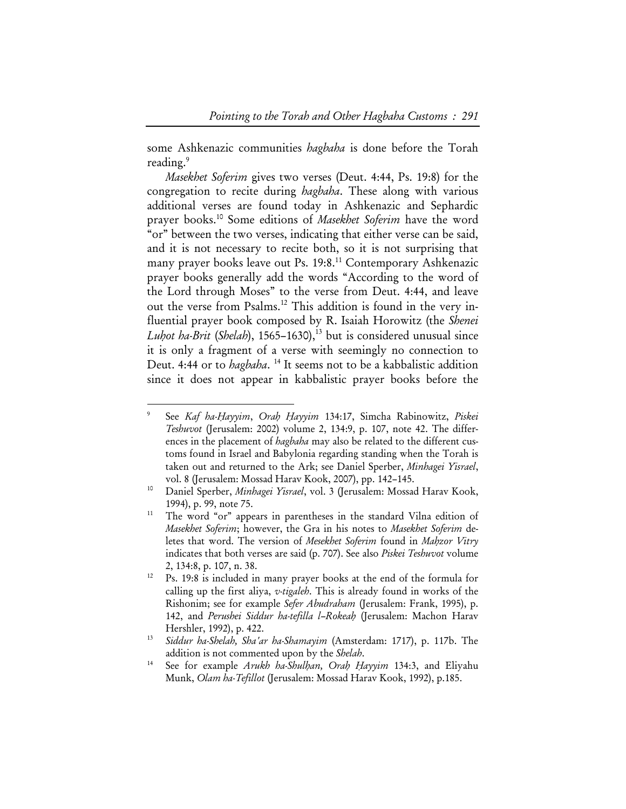some Ashkenazic communities *hagbaha* is done before the Torah reading.<sup>9</sup>

*Masekhet Soferim* gives two verses (Deut. 4:44, Ps. 19:8) for the congregation to recite during *hagbaha*. These along with various additional verses are found today in Ashkenazic and Sephardic prayer books.10 Some editions of *Masekhet Soferim* have the word "or" between the two verses, indicating that either verse can be said, and it is not necessary to recite both, so it is not surprising that many prayer books leave out Ps. 19:8.<sup>11</sup> Contemporary Ashkenazic prayer books generally add the words "According to the word of the Lord through Moses" to the verse from Deut. 4:44, and leave out the verse from Psalms.<sup>12</sup> This addition is found in the very influential prayer book composed by R. Isaiah Horowitz (the *Shenei Luhot ha-Brit* (*Shelah*), 1565–1630),<sup>13</sup> but is considered unusual since it is only a fragment of a verse with seemingly no connection to Deut. 4:44 or to *hagbaha*. 14 It seems not to be a kabbalistic addition since it does not appear in kabbalistic prayer books before the

<sup>9</sup> See *Kaf ha-Hayyim*, *Orah Hayyim* 134:17, Simcha Rabinowitz, *Piskei Teshuvot* (Jerusalem: 2002) volume 2, 134:9, p. 107, note 42. The differences in the placement of *hagbaha* may also be related to the different customs found in Israel and Babylonia regarding standing when the Torah is taken out and returned to the Ark; see Daniel Sperber, *Minhagei Yisrael*, vol. 8 (Jerusalem: Mossad Harav Kook, 2007), pp. 142–145. 10 Daniel Sperber, *Minhagei Yisrael*, vol. 3 (Jerusalem: Mossad Harav Kook,

<sup>1994),</sup> p. 99, note 75.<br><sup>11</sup> The word "or" appears in parentheses in the standard Vilna edition of

*Masekhet Soferim*; however, the Gra in his notes to *Masekhet Soferim* deletes that word. The version of *Mesekhet Soferim* found in *Mahzor Vitry* indicates that both verses are said (p. 707). See also *Piskei Teshuvot* volume 2, 134:8, p. 107, n. 38.<br><sup>12</sup> Ps. 19:8 is included in many prayer books at the end of the formula for

calling up the first aliya, *v-tigaleh*. This is already found in works of the Rishonim; see for example *Sefer Abudraham* (Jerusalem: Frank, 1995), p. 142, and *Perushei Siddur ha-tefilla l–Rokeah* (Jerusalem: Machon Harav

Hershler, 1992), p. 422. 13 *Siddur ha-Shelah, Sha'ar ha-Shamayim* (Amsterdam: 1717), p. 117b. The addition is not commented upon by the *Shelah*.<br>See for example *Arukh ha-Shulhan, Orah Hayyim* 134:3, and Eliyahu

Munk, *Olam ha-Tefillot* (Jerusalem: Mossad Harav Kook, 1992), p.185.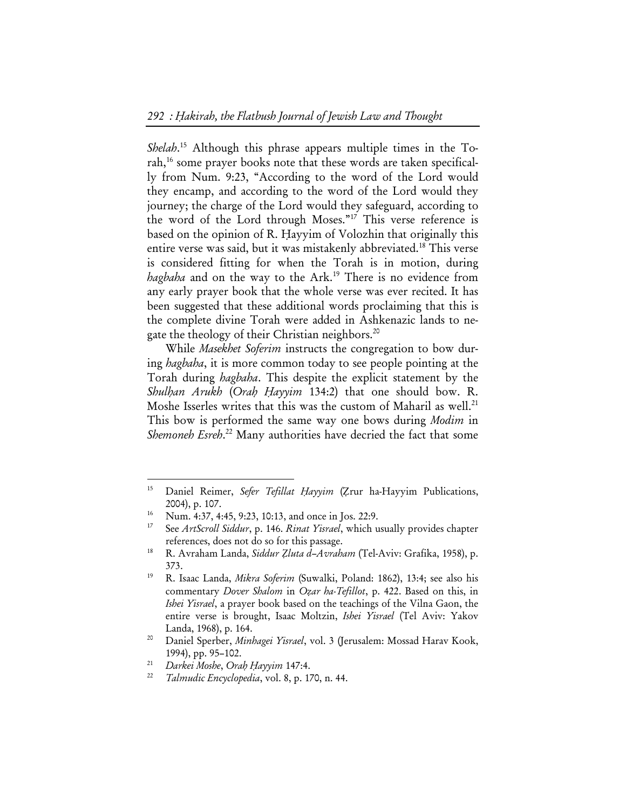*Shelah*. 15 Although this phrase appears multiple times in the Torah,16 some prayer books note that these words are taken specifically from Num. 9:23, "According to the word of the Lord would they encamp, and according to the word of the Lord would they journey; the charge of the Lord would they safeguard, according to the word of the Lord through Moses."17 This verse reference is based on the opinion of R. Hayyim of Volozhin that originally this entire verse was said, but it was mistakenly abbreviated.<sup>18</sup> This verse is considered fitting for when the Torah is in motion, during *hagbaha* and on the way to the Ark.19 There is no evidence from any early prayer book that the whole verse was ever recited. It has been suggested that these additional words proclaiming that this is the complete divine Torah were added in Ashkenazic lands to negate the theology of their Christian neighbors.<sup>20</sup>

While *Masekhet Soferim* instructs the congregation to bow during *hagbaha*, it is more common today to see people pointing at the Torah during *hagbaha*. This despite the explicit statement by the *Shulhan Arukh* (*Orah Hayyim* 134:2) that one should bow. R. Moshe Isserles writes that this was the custom of Maharil as well.<sup>21</sup> This bow is performed the same way one bows during *Modim* in Shemoneh Esreh.<sup>22</sup> Many authorities have decried the fact that some

commentary *Dover Shalom* in *Ozar ha-Tefillot*, p. 422. Based on this, in *Ishei Yisrael*, a prayer book based on the teachings of the Vilna Gaon, the entire verse is brought, Isaac Moltzin, *Ishei Yisrael* (Tel Aviv: Yakov

<sup>15</sup> Daniel Reimer, *Sefer Tefillat Hayyim* (Zrur ha-Hayyim Publications, 2004), p. 107.<br><sup>16</sup> Num. 4:37, 4:45, 9:23, 10:13, and once in Jos. 22:9.<br><sup>17</sup> See Austral Siddyn a 146 Bin to Vined which as

<sup>17</sup> See *ArtScroll Siddur*, p. 146. *Rinat Yisrael*, which usually provides chapter references, does not do so for this passage. 18 R. Avraham Landa, *Siddur Zluta d–Avraham* (Tel-Aviv: Grafika, 1958), p.

<sup>373. 19</sup> R. Isaac Landa, *Mikra Soferim* (Suwalki, Poland: 1862), 13:4; see also his

Landa, 1968), p. 164. 20 Daniel Sperber, *Minhagei Yisrael*, vol. 3 (Jerusalem: Mossad Harav Kook, 1994), pp. 95–102. 21 *Darkei Moshe*, *Orah Hayyim* 147:4. 22 *Talmudic Encyclopedia*, vol. 8, p. 170, n. 44.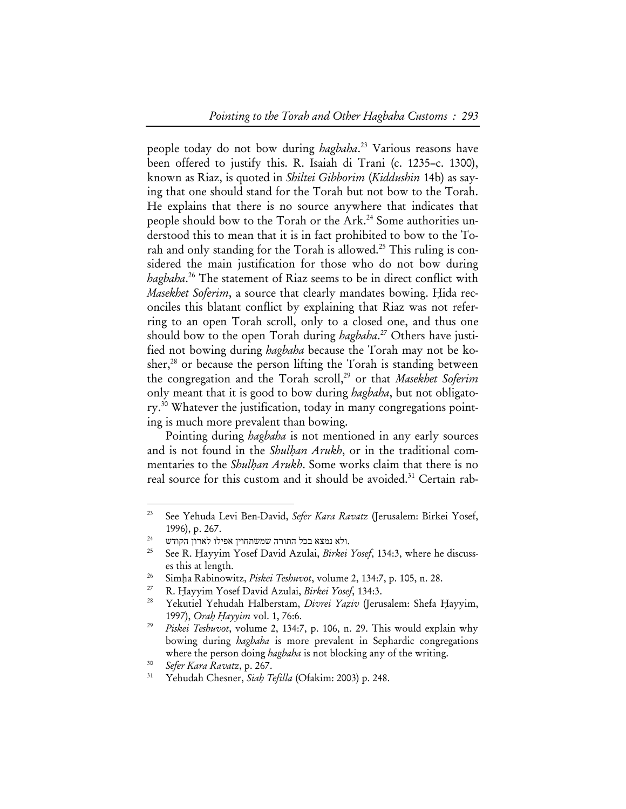people today do not bow during *hagbaha*. 23 Various reasons have been offered to justify this. R. Isaiah di Trani (c. 1235–c. 1300), known as Riaz, is quoted in *Shiltei Gibborim* (*Kiddushin* 14b) as saying that one should stand for the Torah but not bow to the Torah. He explains that there is no source anywhere that indicates that people should bow to the Torah or the Ark.<sup>24</sup> Some authorities understood this to mean that it is in fact prohibited to bow to the Torah and only standing for the Torah is allowed.<sup>25</sup> This ruling is considered the main justification for those who do not bow during *hagbaha*. 26 The statement of Riaz seems to be in direct conflict with *Masekhet Soferim*, a source that clearly mandates bowing. Hida reconciles this blatant conflict by explaining that Riaz was not referring to an open Torah scroll, only to a closed one, and thus one should bow to the open Torah during *hagbaha*. 27 Others have justified not bowing during *hagbaha* because the Torah may not be kosher, $^{28}$  or because the person lifting the Torah is standing between the congregation and the Torah scroll,<sup>29</sup> or that *Masekhet Soferim* only meant that it is good to bow during *hagbaha*, but not obligatory.30 Whatever the justification, today in many congregations pointing is much more prevalent than bowing.

Pointing during *hagbaha* is not mentioned in any early sources and is not found in the *Shulhan Arukh*, or in the traditional commentaries to the *Shulhan Arukh*. Some works claim that there is no real source for this custom and it should be avoided.<sup>31</sup> Certain rab-

<sup>23</sup> See Yehuda Levi Ben-David, *Sefer Kara Ravatz* (Jerusalem: Birkei Yosef, 1996), p. 267.<br> $^{24}$ נמצא בכל התורה שמשתחוין אפילו לארון הקודש.

<sup>25</sup> See R. Hayyim Yosef David Azulai, *Birkei Yosef*, 134:3, where he discusses this at length.<br>
<sup>26</sup> Simha Rabinowitz, *Piskei Teshuvot*, volume 2, 134:7, p. 105, n. 28.<br>
<sup>27</sup> R. Hayyim Yosef David Azulai, *Birkei Yosef*, 134:3.<br>
<sup>28</sup> Yekutiel Yehudah Halberstam, *Divrei Yaziv* (Jerusalem: Shefa H

<sup>1997),</sup> *Orah Hayyim* vol. 1, 76:6. 29 *Piskei Teshuvot*, volume 2, 134:7, p. 106, n. 29. This would explain why

bowing during *hagbaha* is more prevalent in Sephardic congregations where the person doing *hagbaha* is not blocking any of the writing.<br><sup>30</sup> *Sefer Kara Ravatz*, p. 267.<br><sup>31</sup> Yehudah Chesner, *Siah Tefilla* (Ofakim: 2003) p. 248.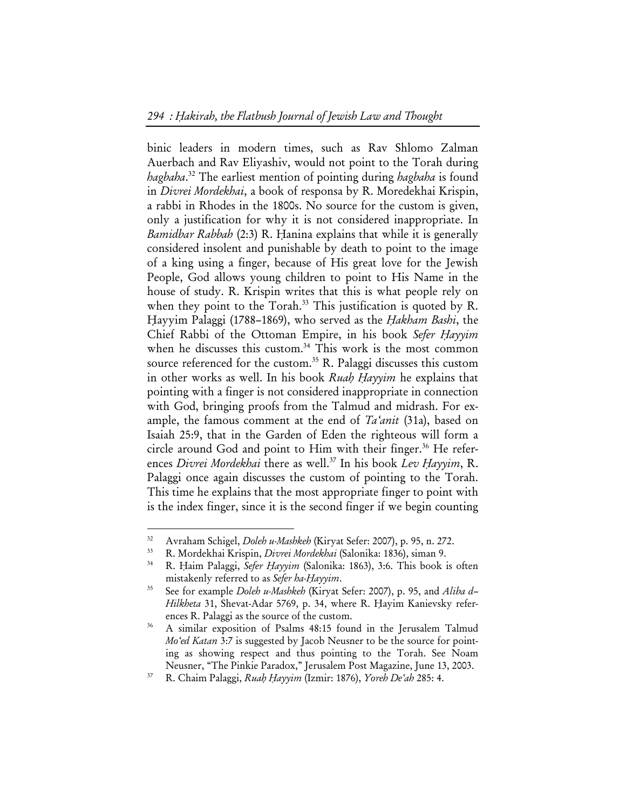binic leaders in modern times, such as Rav Shlomo Zalman Auerbach and Rav Eliyashiv, would not point to the Torah during *hagbaha*. 32 The earliest mention of pointing during *hagbaha* is found in *Divrei Mordekhai*, a book of responsa by R. Moredekhai Krispin, a rabbi in Rhodes in the 1800s. No source for the custom is given, only a justification for why it is not considered inappropriate. In *Bamidbar Rabbah* (2:3) R. Hanina explains that while it is generally considered insolent and punishable by death to point to the image of a king using a finger, because of His great love for the Jewish People, God allows young children to point to His Name in the house of study. R. Krispin writes that this is what people rely on when they point to the Torah.<sup>33</sup> This justification is quoted by R. Hayyim Palaggi (1788–1869), who served as the *Hakham Bashi*, the Chief Rabbi of the Ottoman Empire, in his book *Sefer Hayyim* when he discusses this custom.<sup>34</sup> This work is the most common source referenced for the custom.<sup>35</sup> R. Palaggi discusses this custom in other works as well. In his book *Ruah Hayyim* he explains that pointing with a finger is not considered inappropriate in connection with God, bringing proofs from the Talmud and midrash. For example, the famous comment at the end of *Ta'anit* (31a), based on Isaiah 25:9, that in the Garden of Eden the righteous will form a circle around God and point to Him with their finger.<sup>36</sup> He references *Divrei Mordekhai* there as well.<sup>37</sup> In his book *Lev Hayyim*, R. Palaggi once again discusses the custom of pointing to the Torah. This time he explains that the most appropriate finger to point with is the index finger, since it is the second finger if we begin counting

<sup>&</sup>lt;sup>32</sup> Avraham Schigel, *Doleh u-Mashkeh* (Kiryat Sefer: 2007), p. 95, n. 272.<br><sup>33</sup> R. Mordekhai Krispin, *Divrei Mordekhai* (Salonika: 1836), siman 9.<br><sup>34</sup> R. Haim Palaggi, *Sefer Hayyim* (Salonika: 1863), 3:6. This book is

mistakenly referred to as *Sefer ha-Hayyim*. 35 See for example *Doleh u-Mashkeh* (Kiryat Sefer: 2007), p. 95, and *Aliba d– Hilkheta* 31, Shevat-Adar 5769, p. 34, where R. Hayim Kanievsky refer-

ences R. Palaggi as the source of the custom.<br>36 A similar exposition of Psalms 48:15 found in the Jerusalem Talmud *Mo'ed Katan* 3:7 is suggested by Jacob Neusner to be the source for pointing as showing respect and thus pointing to the Torah. See Noam

Neusner, "The Pinkie Paradox," Jerusalem Post Magazine, June 13, 2003. 37 R. Chaim Palaggi, *Ruah Hayyim* (Izmir: 1876), *Yoreh De'ah* 285: 4.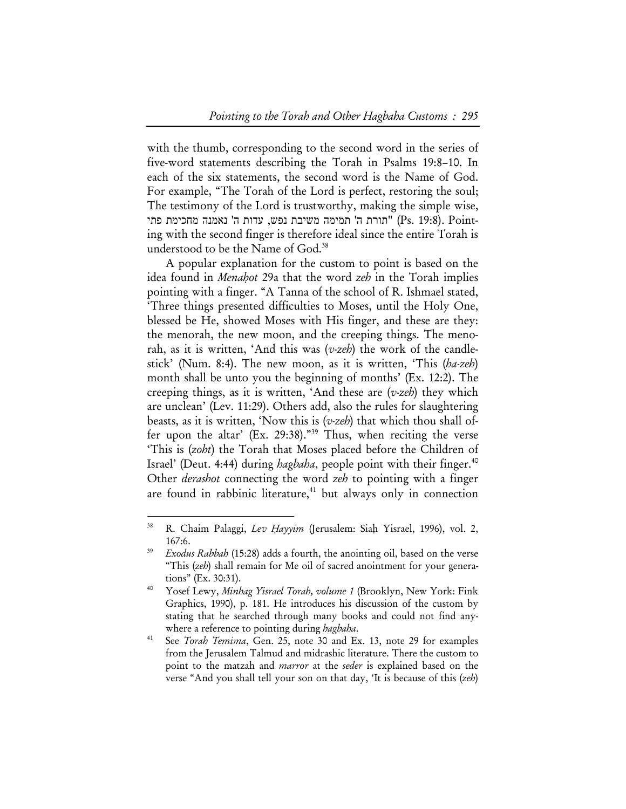with the thumb, corresponding to the second word in the series of five-word statements describing the Torah in Psalms 19:8–10. In each of the six statements, the second word is the Name of God. For example, "The Torah of the Lord is perfect, restoring the soul; The testimony of the Lord is trustworthy, making the simple wise, יתורת ה' ממימה משיבת נפש, עדות ה' נאמנה מחכימת פתי (Ps. 19:8). Pointing with the second finger is therefore ideal since the entire Torah is understood to be the Name of God.<sup>38</sup>

A popular explanation for the custom to point is based on the idea found in *Menahot* 29a that the word *zeh* in the Torah implies pointing with a finger. "A Tanna of the school of R. Ishmael stated, 'Three things presented difficulties to Moses, until the Holy One, blessed be He, showed Moses with His finger, and these are they: the menorah, the new moon, and the creeping things. The menorah, as it is written, 'And this was (*v-zeh*) the work of the candlestick' (Num. 8:4). The new moon, as it is written, 'This (*ha-zeh*) month shall be unto you the beginning of months' (Ex. 12:2). The creeping things, as it is written, 'And these are (*v-zeh*) they which are unclean' (Lev. 11:29). Others add, also the rules for slaughtering beasts, as it is written, 'Now this is (*v-zeh*) that which thou shall offer upon the altar' (Ex. 29:38)."39 Thus, when reciting the verse 'This is (*zoht*) the Torah that Moses placed before the Children of Israel' (Deut. 4:44) during *hagbaha*, people point with their finger.<sup>40</sup> Other *derashot* connecting the word *zeh* to pointing with a finger are found in rabbinic literature, $41$  but always only in connection

<sup>38</sup> R. Chaim Palaggi, *Lev Hayyim* (Jerusalem: Siah Yisrael, 1996), vol. 2, 167:6. 39 *Exodus Rabbah* (15:28) adds a fourth, the anointing oil, based on the verse

<sup>&</sup>quot;This (*zeh*) shall remain for Me oil of sacred anointment for your generations" (Ex. 30:31). 40 Yosef Lewy, *Minhag Yisrael Torah, volume 1* (Brooklyn, New York: Fink

Graphics, 1990), p. 181. He introduces his discussion of the custom by stating that he searched through many books and could not find any-

where a reference to pointing during *hagbaha*.<br>See *Torah Temima*, Gen. 25, note 30 and Ex. 13, note 29 for examples from the Jerusalem Talmud and midrashic literature. There the custom to point to the matzah and *marror* at the *seder* is explained based on the verse "And you shall tell your son on that day, 'It is because of this (*zeh*)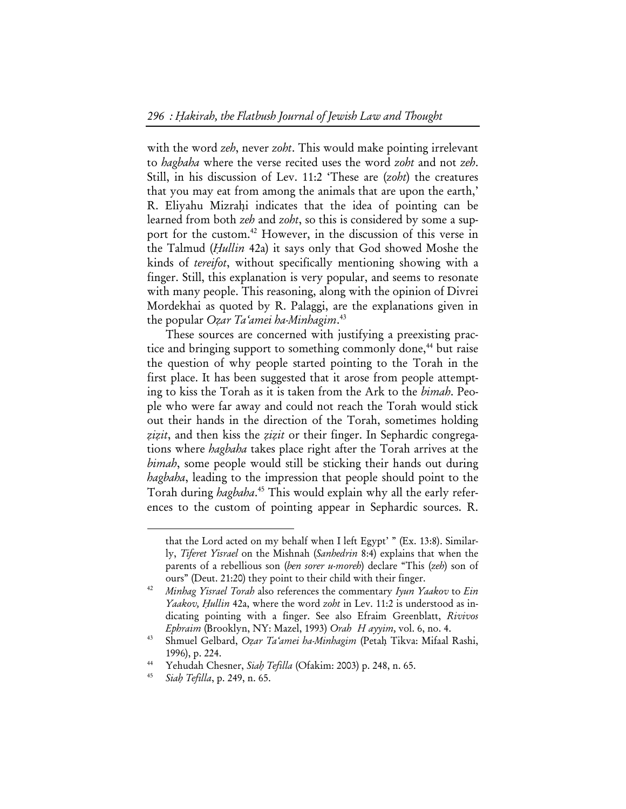with the word *zeh*, never *zoht*. This would make pointing irrelevant to *hagbaha* where the verse recited uses the word *zoht* and not *zeh*. Still, in his discussion of Lev. 11:2 'These are (*zoht*) the creatures that you may eat from among the animals that are upon the earth,' R. Eliyahu Mizrahi indicates that the idea of pointing can be learned from both *zeh* and *zoht*, so this is considered by some a support for the custom.42 However, in the discussion of this verse in the Talmud (*Hullin* 42a) it says only that God showed Moshe the kinds of *tereifot*, without specifically mentioning showing with a finger. Still, this explanation is very popular, and seems to resonate with many people. This reasoning, along with the opinion of Divrei Mordekhai as quoted by R. Palaggi, are the explanations given in the popular *Ozar Ta'amei ha-Minhagim*. 43

These sources are concerned with justifying a preexisting practice and bringing support to something commonly done,<sup>44</sup> but raise the question of why people started pointing to the Torah in the first place. It has been suggested that it arose from people attempting to kiss the Torah as it is taken from the Ark to the *bimah*. People who were far away and could not reach the Torah would stick out their hands in the direction of the Torah, sometimes holding *zizit*, and then kiss the *zizit* or their finger. In Sephardic congregations where *hagbaha* takes place right after the Torah arrives at the *bimah*, some people would still be sticking their hands out during *hagbaha*, leading to the impression that people should point to the Torah during *hagbaha*. 45 This would explain why all the early references to the custom of pointing appear in Sephardic sources. R.

that the Lord acted on my behalf when I left Egypt' " (Ex. 13:8). Similarly, *Tiferet Yisrael* on the Mishnah (*Sanhedrin* 8:4) explains that when the parents of a rebellious son (*ben sorer u-moreh*) declare "This (*zeh*) son of

ours" (Deut. 21:20) they point to their child with their finger. 42 *Minhag Yisrael Torah* also references the commentary *Iyun Yaakov* to *Ein Yaakov, Hullin* 42a, where the word *zoht* in Lev. 11:2 is understood as indicating pointing with a finger. See also Efraim Greenblatt, *Rivivos Ephraim* (Brooklyn, NY: Mazel, 1993) *Orah Hayyim,* vol. 6, no. 4.

<sup>43</sup> Shmuel Gelbard, *Ozar Ta'amei ha-Minhagim* (Petah Tikva: Mifaal Rashi, 1996), p. 224. 44 Yehudah Chesner, *Siah Tefilla* (Ofakim: 2003) p. 248, n. 65. 45 *Siah Tefilla*, p. 249, n. 65.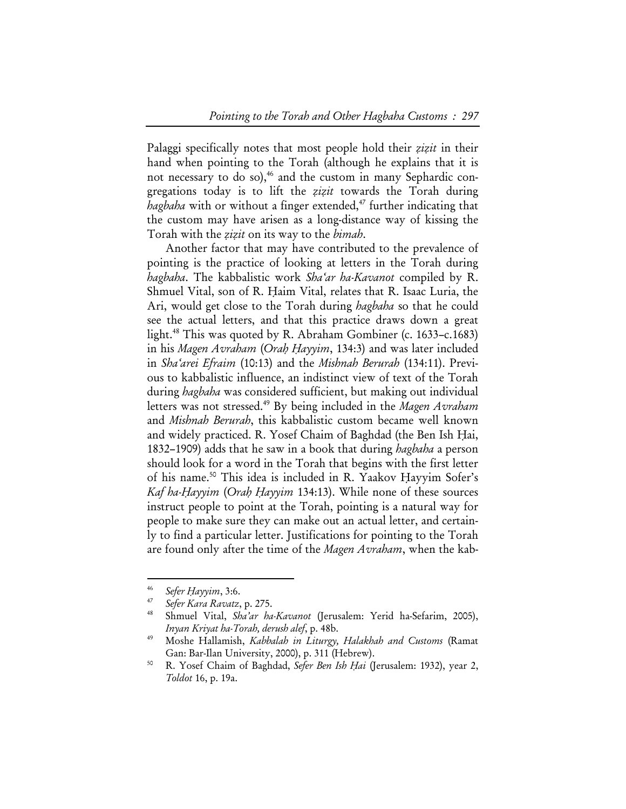Palaggi specifically notes that most people hold their *zizit* in their hand when pointing to the Torah (although he explains that it is not necessary to do so),<sup>46</sup> and the custom in many Sephardic congregations today is to lift the *zizit* towards the Torah during *hagbaha* with or without a finger extended,<sup>47</sup> further indicating that the custom may have arisen as a long-distance way of kissing the Torah with the *zizit* on its way to the *bimah*.

Another factor that may have contributed to the prevalence of pointing is the practice of looking at letters in the Torah during *hagbaha*. The kabbalistic work *Sha'ar ha-Kavanot* compiled by R. Shmuel Vital, son of R. Haim Vital, relates that R. Isaac Luria, the Ari, would get close to the Torah during *hagbaha* so that he could see the actual letters, and that this practice draws down a great light.<sup>48</sup> This was quoted by R. Abraham Gombiner (c. 1633–c.1683) in his *Magen Avraham* (*Orah Hayyim*, 134:3) and was later included in *Sha'arei Efraim* (10:13) and the *Mishnah Berurah* (134:11). Previous to kabbalistic influence, an indistinct view of text of the Torah during *hagbaha* was considered sufficient, but making out individual letters was not stressed.49 By being included in the *Magen Avraham* and *Mishnah Berurah*, this kabbalistic custom became well known and widely practiced. R. Yosef Chaim of Baghdad (the Ben Ish Hai, 1832–1909) adds that he saw in a book that during *hagbaha* a person should look for a word in the Torah that begins with the first letter of his name.50 This idea is included in R. Yaakov Hayyim Sofer's *Kaf ha-Hayyim* (*Orah Hayyim* 134:13). While none of these sources instruct people to point at the Torah, pointing is a natural way for people to make sure they can make out an actual letter, and certainly to find a particular letter. Justifications for pointing to the Torah are found only after the time of the *Magen Avraham*, when the kab-

<sup>46</sup>*Sefer Hayyim*, 3:6. 47 *Sefer Kara Ravatz*, p. 275. 48 Shmuel Vital, *Sha'ar ha-Kavanot* (Jerusalem: Yerid ha-Sefarim, 2005), *Inyan Kriyat ha-Torah, derush alef*, p. 48b. 49 Moshe Hallamish, *Kabbalah in Liturgy, Halakhah and Customs* (Ramat

Gan: Bar-Ilan University, 2000), p. 311 (Hebrew). 50 R. Yosef Chaim of Baghdad, *Sefer Ben Ish Hai* (Jerusalem: 1932), year 2,

*Toldot* 16, p. 19a.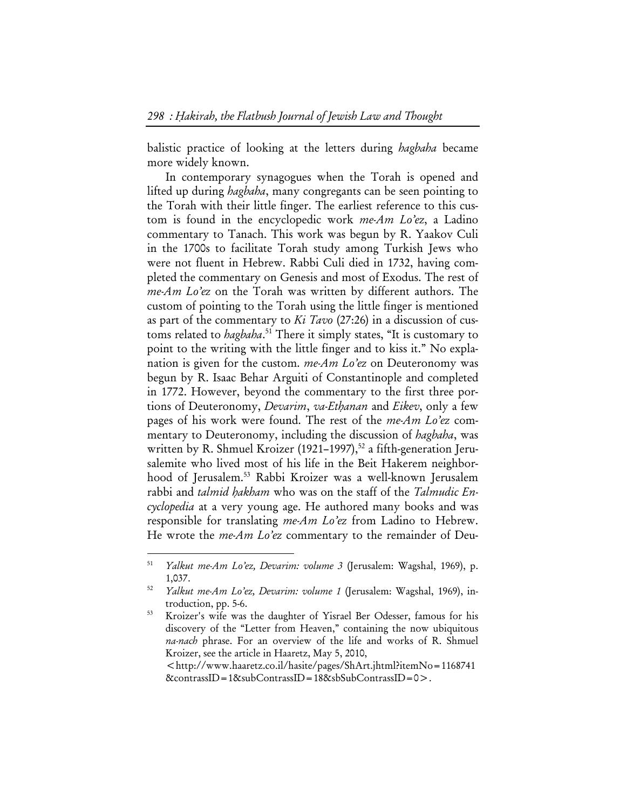balistic practice of looking at the letters during *hagbaha* became more widely known.

In contemporary synagogues when the Torah is opened and lifted up during *hagbaha*, many congregants can be seen pointing to the Torah with their little finger. The earliest reference to this custom is found in the encyclopedic work *me-Am Lo'ez*, a Ladino commentary to Tanach. This work was begun by R. Yaakov Culi in the 1700s to facilitate Torah study among Turkish Jews who were not fluent in Hebrew. Rabbi Culi died in 1732, having completed the commentary on Genesis and most of Exodus. The rest of *me-Am Lo'ez* on the Torah was written by different authors. The custom of pointing to the Torah using the little finger is mentioned as part of the commentary to *Ki Tavo* (27:26) in a discussion of customs related to *hagbaha*. 51 There it simply states, "It is customary to point to the writing with the little finger and to kiss it." No explanation is given for the custom. *me-Am Lo'ez* on Deuteronomy was begun by R. Isaac Behar Arguiti of Constantinople and completed in 1772. However, beyond the commentary to the first three portions of Deuteronomy, *Devarim*, *va-Ethanan* and *Eikev*, only a few pages of his work were found. The rest of the *me-Am Lo'ez* commentary to Deuteronomy, including the discussion of *hagbaha*, was written by R. Shmuel Kroizer (1921–1997),<sup>52</sup> a fifth-generation Jerusalemite who lived most of his life in the Beit Hakerem neighborhood of Jerusalem.<sup>53</sup> Rabbi Kroizer was a well-known Jerusalem rabbi and *talmid hakham* who was on the staff of the *Talmudic Encyclopedia* at a very young age. He authored many books and was responsible for translating *me-Am Lo'ez* from Ladino to Hebrew. He wrote the *me-Am Lo'ez* commentary to the remainder of Deu-

<sup>51</sup> *Yalkut me-Am Lo'ez, Devarim: volume 3* (Jerusalem: Wagshal, 1969), p.

<sup>1,037. 52</sup> *Yalkut me-Am Lo'ez, Devarim: volume 1* (Jerusalem: Wagshal, 1969), introduction, pp. 5-6. 53 Kroizer's wife was the daughter of Yisrael Ber Odesser, famous for his

discovery of the "Letter from Heaven," containing the now ubiquitous *na-nach* phrase. For an overview of the life and works of R. Shmuel Kroizer, see the article in Haaretz, May 5, 2010,

<sup>&</sup>lt;http://www.haaretz.co.il/hasite/pages/ShArt.jhtml?itemNo=1168741 &contrassID=1&subContrassID=18&sbSubContrassID=0>.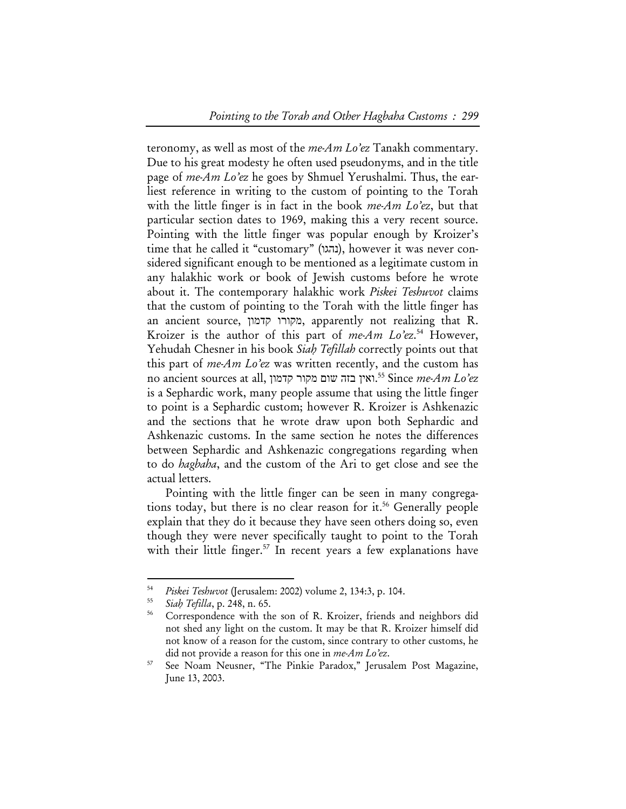teronomy, as well as most of the *me-Am Lo'ez* Tanakh commentary. Due to his great modesty he often used pseudonyms, and in the title page of *me-Am Lo'ez* he goes by Shmuel Yerushalmi. Thus, the earliest reference in writing to the custom of pointing to the Torah with the little finger is in fact in the book *me-Am Lo'ez*, but that particular section dates to 1969, making this a very recent source. Pointing with the little finger was popular enough by Kroizer's time that he called it "customary" (נהגו), however it was never considered significant enough to be mentioned as a legitimate custom in any halakhic work or book of Jewish customs before he wrote about it. The contemporary halakhic work *Piskei Teshuvot* claims that the custom of pointing to the Torah with the little finger has an ancient source, קדמון מקורו, apparently not realizing that R. Kroizer is the author of this part of *me-Am Lo'ez*. 54 However, Yehudah Chesner in his book *Siah Tefillah* correctly points out that this part of *me-Am Lo'ez* was written recently, and the custom has .ואין בזה שום מקור קדמון ,all at sources ancient no 55 Since *me-Am Lo'ez* is a Sephardic work, many people assume that using the little finger to point is a Sephardic custom; however R. Kroizer is Ashkenazic and the sections that he wrote draw upon both Sephardic and Ashkenazic customs. In the same section he notes the differences between Sephardic and Ashkenazic congregations regarding when to do *hagbaha*, and the custom of the Ari to get close and see the actual letters.

Pointing with the little finger can be seen in many congregations today, but there is no clear reason for it.<sup>56</sup> Generally people explain that they do it because they have seen others doing so, even though they were never specifically taught to point to the Torah with their little finger.<sup>57</sup> In recent years a few explanations have

<sup>54</sup>*Piskei Teshuvot* (Jerusalem: 2002) volume 2, 134:3, p. 104. 55 *Siah Tefilla*, p. 248, n. 65. 56 Correspondence with the son of R. Kroizer, friends and neighbors did not shed any light on the custom. It may be that R. Kroizer himself did not know of a reason for the custom, since contrary to other customs, he did not provide a reason for this one in *me-Am Lo'ez*.<br>See Noam Neusner, "The Pinkie Paradox," Jerusalem Post Magazine,

June 13, 2003.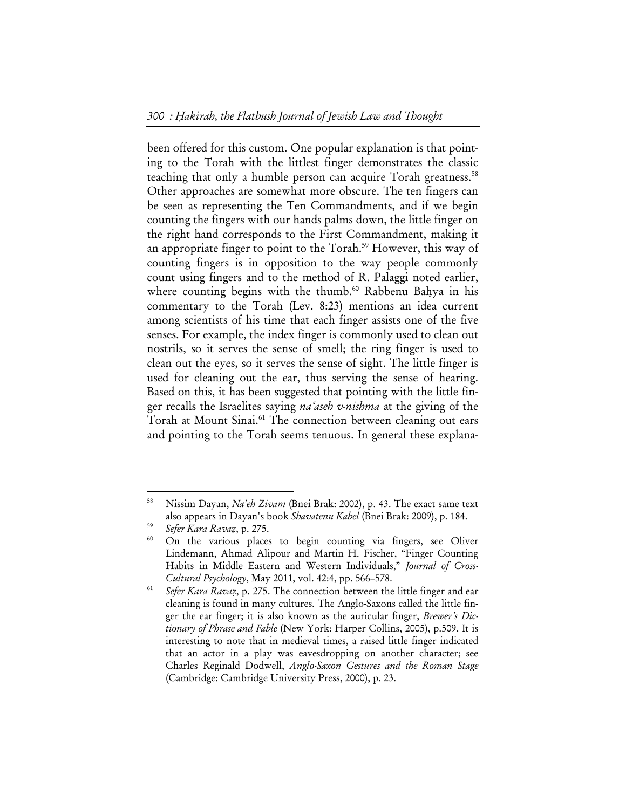been offered for this custom. One popular explanation is that pointing to the Torah with the littlest finger demonstrates the classic teaching that only a humble person can acquire Torah greatness.<sup>58</sup> Other approaches are somewhat more obscure. The ten fingers can be seen as representing the Ten Commandments, and if we begin counting the fingers with our hands palms down, the little finger on the right hand corresponds to the First Commandment, making it an appropriate finger to point to the Torah.<sup>59</sup> However, this way of counting fingers is in opposition to the way people commonly count using fingers and to the method of R. Palaggi noted earlier, where counting begins with the thumb.<sup>60</sup> Rabbenu Bahya in his commentary to the Torah (Lev. 8:23) mentions an idea current among scientists of his time that each finger assists one of the five senses. For example, the index finger is commonly used to clean out nostrils, so it serves the sense of smell; the ring finger is used to clean out the eyes, so it serves the sense of sight. The little finger is used for cleaning out the ear, thus serving the sense of hearing. Based on this, it has been suggested that pointing with the little finger recalls the Israelites saying *na'aseh v-nishma* at the giving of the Torah at Mount Sinai.<sup>61</sup> The connection between cleaning out ears and pointing to the Torah seems tenuous. In general these explana-

<sup>58</sup> Nissim Dayan, *Na'eh Zivam* (Bnei Brak: 2002), p. 43. The exact same text also appears in Dayan's book *Shavatenu Kabel* (Bnei Brak: 2009), p. 184.<br><sup>59</sup> *Sefer Kara Ravaz*, p. 275.<br><sup>60</sup> On the various places to begin counting via fingers, see Oliver

Lindemann, Ahmad Alipour and Martin H. Fischer, "Finger Counting Habits in Middle Eastern and Western Individuals," *Journal of Cross-*

*Cultural Psychology*, May 2011, vol. 42:4, pp. 566–578. 61 *Sefer Kara Ravaz*, p. 275. The connection between the little finger and ear cleaning is found in many cultures. The Anglo-Saxons called the little finger the ear finger; it is also known as the auricular finger, *Brewer's Dictionary of Phrase and Fable* (New York: Harper Collins, 2005), p.509. It is interesting to note that in medieval times, a raised little finger indicated that an actor in a play was eavesdropping on another character; see Charles Reginald Dodwell, *Anglo-Saxon Gestures and the Roman Stage*  (Cambridge: Cambridge University Press, 2000), p. 23.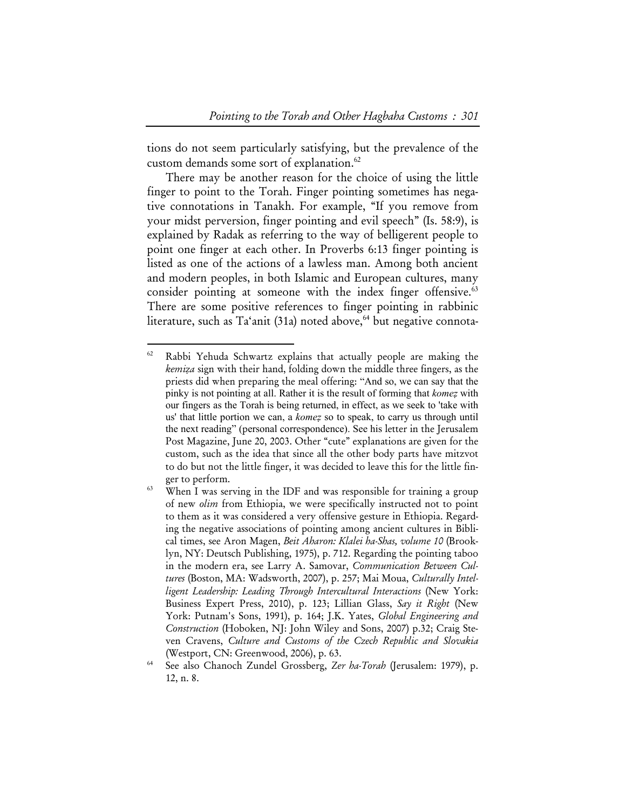tions do not seem particularly satisfying, but the prevalence of the custom demands some sort of explanation.<sup>62</sup>

There may be another reason for the choice of using the little finger to point to the Torah. Finger pointing sometimes has negative connotations in Tanakh. For example, "If you remove from your midst perversion, finger pointing and evil speech" (Is. 58:9), is explained by Radak as referring to the way of belligerent people to point one finger at each other. In Proverbs 6:13 finger pointing is listed as one of the actions of a lawless man. Among both ancient and modern peoples, in both Islamic and European cultures, many consider pointing at someone with the index finger offensive.<sup>63</sup> There are some positive references to finger pointing in rabbinic literature, such as  $Ta<sup>2</sup>ani$  (31a) noted above,<sup>64</sup> but negative connota-

<sup>62</sup> Rabbi Yehuda Schwartz explains that actually people are making the *kemiza* sign with their hand, folding down the middle three fingers, as the priests did when preparing the meal offering: "And so, we can say that the pinky is not pointing at all. Rather it is the result of forming that *komez* with our fingers as the Torah is being returned, in effect, as we seek to 'take with us' that little portion we can, a *komez* so to speak, to carry us through until the next reading" (personal correspondence). See his letter in the Jerusalem Post Magazine, June 20, 2003. Other "cute" explanations are given for the custom, such as the idea that since all the other body parts have mitzvot to do but not the little finger, it was decided to leave this for the little fin-

ger to perform.<br>When I was serving in the IDF and was responsible for training a group of new *olim* from Ethiopia, we were specifically instructed not to point to them as it was considered a very offensive gesture in Ethiopia. Regarding the negative associations of pointing among ancient cultures in Biblical times, see Aron Magen, *Beit Aharon: Klalei ha-Shas, volume 10* (Brooklyn, NY: Deutsch Publishing, 1975), p. 712. Regarding the pointing taboo in the modern era, see Larry A. Samovar, *Communication Between Cultures* (Boston, MA: Wadsworth, 2007), p. 257; Mai Moua, *Culturally Intelligent Leadership: Leading Through Intercultural Interactions* (New York: Business Expert Press, 2010), p. 123; Lillian Glass, *Say it Right* (New York: Putnam's Sons, 1991), p. 164; J.K. Yates, *Global Engineering and Construction* (Hoboken, NJ: John Wiley and Sons, 2007) p.32; Craig Steven Cravens, *Culture and Customs of the Czech Republic and Slovakia*  (Westport, CN: Greenwood, 2006), p. 63.<br>See also Chanoch Zundel Grossberg, *Zer ha-Torah* (Jerusalem: 1979), p.

<sup>12,</sup> n. 8.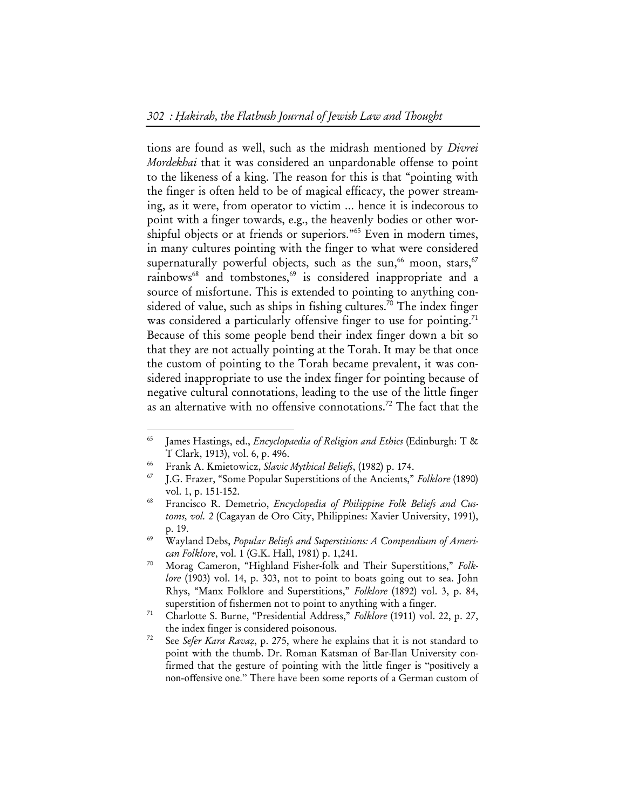tions are found as well, such as the midrash mentioned by *Divrei Mordekhai* that it was considered an unpardonable offense to point to the likeness of a king. The reason for this is that "pointing with the finger is often held to be of magical efficacy, the power streaming, as it were, from operator to victim … hence it is indecorous to point with a finger towards, e.g., the heavenly bodies or other worshipful objects or at friends or superiors."65 Even in modern times, in many cultures pointing with the finger to what were considered supernaturally powerful objects, such as the sun,<sup>66</sup> moon, stars,<sup>67</sup> rainbows<sup>68</sup> and tombstones,<sup>69</sup> is considered inappropriate and a source of misfortune. This is extended to pointing to anything considered of value, such as ships in fishing cultures.<sup>70</sup> The index finger was considered a particularly offensive finger to use for pointing.<sup>71</sup> Because of this some people bend their index finger down a bit so that they are not actually pointing at the Torah. It may be that once the custom of pointing to the Torah became prevalent, it was considered inappropriate to use the index finger for pointing because of negative cultural connotations, leading to the use of the little finger as an alternative with no offensive connotations.<sup>72</sup> The fact that the

<sup>65</sup> James Hastings, ed., *Encyclopaedia of Religion and Ethics* (Edinburgh: T & T Clark, 1913), vol. 6, p. 496. 66 Frank A. Kmietowicz, *Slavic Mythical Beliefs*, (1982) p. 174. 67 J.G. Frazer, "Some Popular Superstitions of the Ancients," *Folklore* (1890)

vol. 1, p. 151-152. 68 Francisco R. Demetrio, *Encyclopedia of Philippine Folk Beliefs and Cus-*

*toms, vol. 2* (Cagayan de Oro City, Philippines: Xavier University, 1991), p. 19. 69 Wayland Debs, *Popular Beliefs and Superstitions: A Compendium of Ameri-*

*can Folklore*, vol. 1 (G.K. Hall, 1981) p. 1,241. 70 Morag Cameron, "Highland Fisher-folk and Their Superstitions," *Folk-*

*lore* (1903) vol. 14, p. 303, not to point to boats going out to sea. John Rhys, "Manx Folklore and Superstitions," *Folklore* (1892) vol. 3, p. 84,

superstition of fishermen not to point to anything with a finger. 71 Charlotte S. Burne, "Presidential Address," *Folklore* (1911) vol. 22, p. 27, the index finger is considered poisonous. 72 See *Sefer Kara Ravaz*, p. 275, where he explains that it is not standard to

point with the thumb. Dr. Roman Katsman of Bar-Ilan University confirmed that the gesture of pointing with the little finger is "positively a non-offensive one." There have been some reports of a German custom of